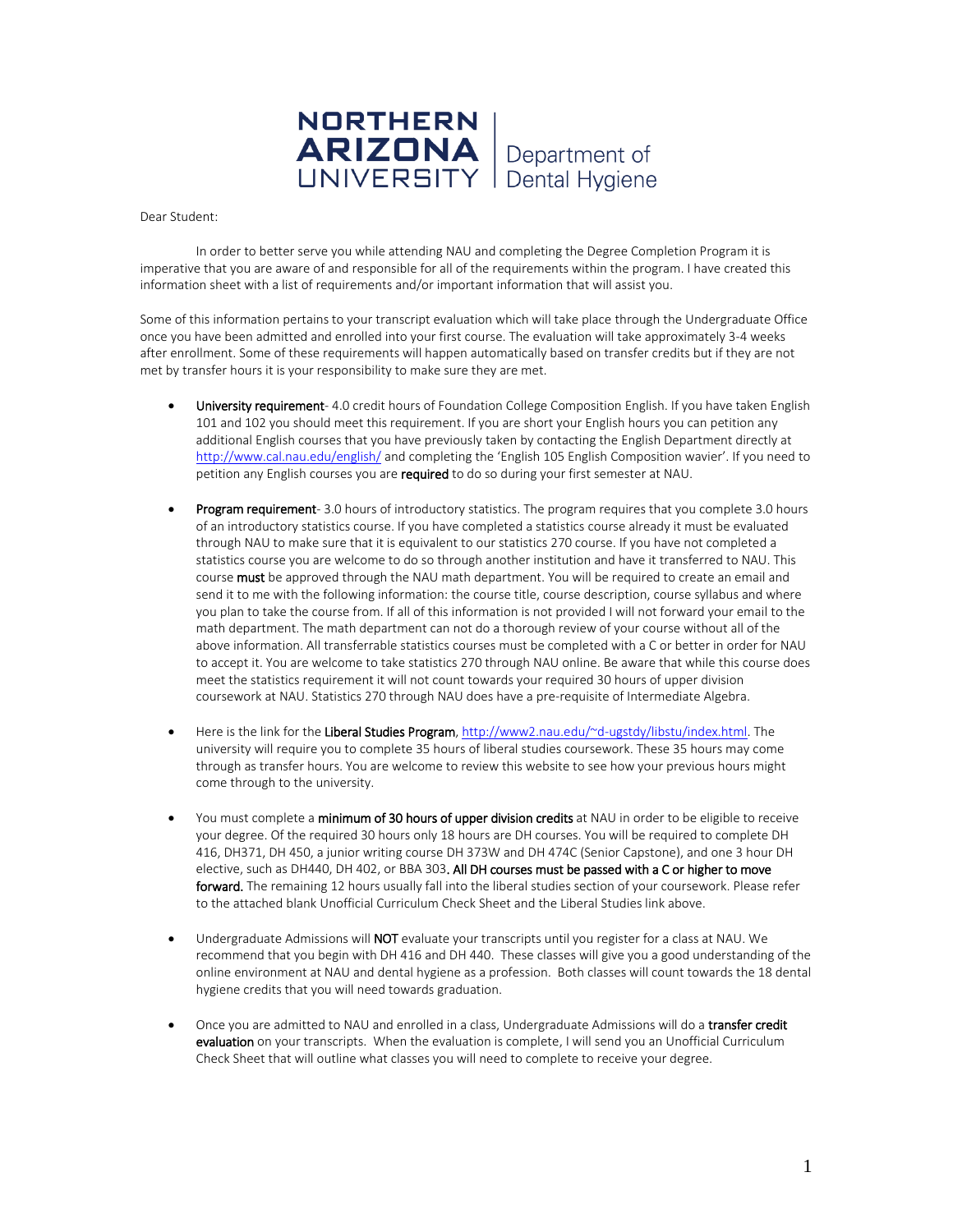

Dear Student:

In order to better serve you while attending NAU and completing the Degree Completion Program it is imperative that you are aware of and responsible for all of the requirements within the program. I have created this information sheet with a list of requirements and/or important information that will assist you.

Some of this information pertains to your transcript evaluation which will take place through the Undergraduate Office once you have been admitted and enrolled into your first course. The evaluation will take approximately 3-4 weeks after enrollment. Some of these requirements will happen automatically based on transfer credits but if they are not met by transfer hours it is your responsibility to make sure they are met.

- University requirement- 4.0 credit hours of Foundation College Composition English. If you have taken English 101 and 102 you should meet this requirement. If you are short your English hours you can petition any additional English courses that you have previously taken by contacting the English Department directly at <http://www.cal.nau.edu/english/> and completing the 'English 105 English Composition wavier'. If you need to petition any English courses you are required to do so during your first semester at NAU.
- **Program requirement-** 3.0 hours of introductory statistics. The program requires that you complete 3.0 hours of an introductory statistics course. If you have completed a statistics course already it must be evaluated through NAU to make sure that it is equivalent to our statistics 270 course. If you have not completed a statistics course you are welcome to do so through another institution and have it transferred to NAU. This course must be approved through the NAU math department. You will be required to create an email and send it to me with the following information: the course title, course description, course syllabus and where you plan to take the course from. If all of this information is not provided I will not forward your email to the math department. The math department can not do a thorough review of your course without all of the above information. All transferrable statistics courses must be completed with a C or better in order for NAU to accept it. You are welcome to take statistics 270 through NAU online. Be aware that while this course does meet the statistics requirement it will not count towards your required 30 hours of upper division coursework at NAU. Statistics 270 through NAU does have a pre-requisite of Intermediate Algebra.
- Here is the link for the Liberal Studies Program, [http://www2.nau.edu/~d-ugstdy/libstu/index.html.](http://www2.nau.edu/~d-ugstdy/libstu/index.html) The university will require you to complete 35 hours of liberal studies coursework. These 35 hours may come through as transfer hours. You are welcome to review this website to see how your previous hours might come through to the university.
- You must complete a minimum of 30 hours of upper division credits at NAU in order to be eligible to receive your degree. Of the required 30 hours only 18 hours are DH courses. You will be required to complete DH 416, DH371, DH 450, a junior writing course DH 373W and DH 474C (Senior Capstone), and one 3 hour DH elective, such as DH440, DH 402, or BBA 303. All DH courses must be passed with a C or higher to move forward. The remaining 12 hours usually fall into the liberal studies section of your coursework. Please refer to the attached blank Unofficial Curriculum Check Sheet and the Liberal Studies link above.
- Undergraduate Admissions will NOT evaluate your transcripts until you register for a class at NAU. We recommend that you begin with DH 416 and DH 440. These classes will give you a good understanding of the online environment at NAU and dental hygiene as a profession. Both classes will count towards the 18 dental hygiene credits that you will need towards graduation.
- Once you are admitted to NAU and enrolled in a class, Undergraduate Admissions will do a transfer credit evaluation on your transcripts. When the evaluation is complete, I will send you an Unofficial Curriculum Check Sheet that will outline what classes you will need to complete to receive your degree.